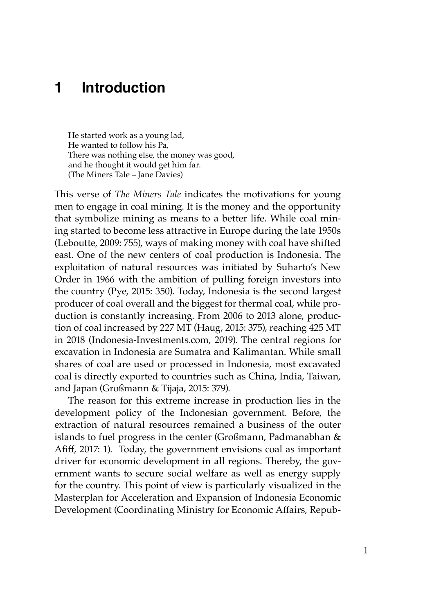## **1 Introduction**

He started work as a young lad, He wanted to follow his Pa, There was nothing else, the money was good, and he thought it would get him far. (The Miners Tale – Jane Davies)

This verse of *The Miners Tale* indicates the motivations for young men to engage in coal mining. It is the money and the opportunity that symbolize mining as means to a better life. While coal mining started to become less attractive in Europe during the late 1950s (Leboutte, 2009: 755), ways of making money with coal have shifted east. One of the new centers of coal production is Indonesia. The exploitation of natural resources was initiated by Suharto's New Order in 1966 with the ambition of pulling foreign investors into the country (Pye, 2015: 350). Today, Indonesia is the second largest producer of coal overall and the biggest for thermal coal, while production is constantly increasing. From 2006 to 2013 alone, production of coal increased by 227 MT (Haug, 2015: 375), reaching 425 MT in 2018 (Indonesia-Investments.com, 2019). The central regions for excavation in Indonesia are Sumatra and Kalimantan. While small shares of coal are used or processed in Indonesia, most excavated coal is directly exported to countries such as China, India, Taiwan, and Japan (Großmann & Tijaja, 2015: 379).

The reason for this extreme increase in production lies in the development policy of the Indonesian government. Before, the extraction of natural resources remained a business of the outer islands to fuel progress in the center (Großmann, Padmanabhan & Afiff, 2017: 1). Today, the government envisions coal as important driver for economic development in all regions. Thereby, the government wants to secure social welfare as well as energy supply for the country. This point of view is particularly visualized in the Masterplan for Acceleration and Expansion of Indonesia Economic Development (Coordinating Ministry for Economic Affairs, Repub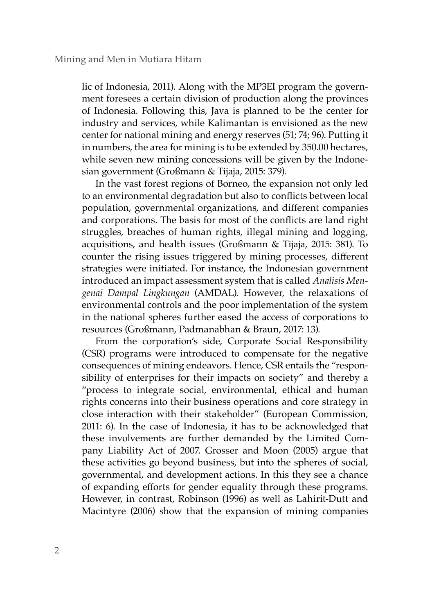lic of Indonesia, 2011). Along with the MP3EI program the government foresees a certain division of production along the provinces of Indonesia. Following this, Java is planned to be the center for industry and services, while Kalimantan is envisioned as the new center for national mining and energy reserves (51; 74; 96). Putting it in numbers, the area for mining is to be extended by 350.00 hectares, while seven new mining concessions will be given by the Indonesian government (Großmann & Tijaja, 2015: 379).

In the vast forest regions of Borneo, the expansion not only led to an environmental degradation but also to conflicts between local population, governmental organizations, and different companies and corporations. The basis for most of the conflicts are land right struggles, breaches of human rights, illegal mining and logging, acquisitions, and health issues (Großmann & Tijaja, 2015: 381). To counter the rising issues triggered by mining processes, different strategies were initiated. For instance, the Indonesian government introduced an impact assessment system that is called *Analisis Mengenai Dampal Lingkungan* (AMDAL). However, the relaxations of environmental controls and the poor implementation of the system in the national spheres further eased the access of corporations to resources (Großmann, Padmanabhan & Braun, 2017: 13).

From the corporation's side, Corporate Social Responsibility (CSR) programs were introduced to compensate for the negative consequences of mining endeavors. Hence, CSR entails the "responsibility of enterprises for their impacts on society" and thereby a "process to integrate social, environmental, ethical and human rights concerns into their business operations and core strategy in close interaction with their stakeholder" (European Commission, 2011: 6). In the case of Indonesia, it has to be acknowledged that these involvements are further demanded by the Limited Company Liability Act of 2007. Grosser and Moon (2005) argue that these activities go beyond business, but into the spheres of social, governmental, and development actions. In this they see a chance of expanding efforts for gender equality through these programs. However, in contrast, Robinson (1996) as well as Lahirit-Dutt and Macintyre (2006) show that the expansion of mining companies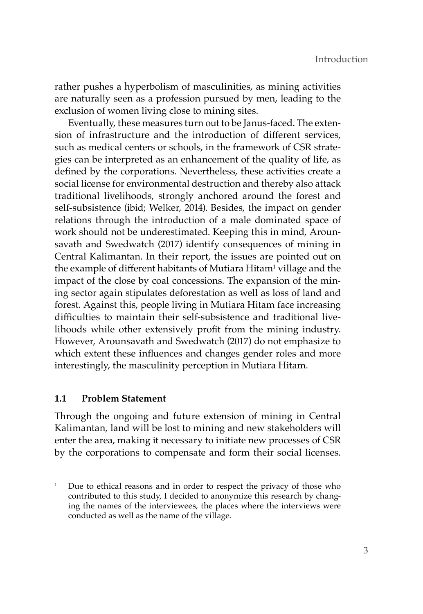rather pushes a hyperbolism of masculinities, as mining activities are naturally seen as a profession pursued by men, leading to the exclusion of women living close to mining sites.

Eventually, these measures turn out to be Janus-faced. The extension of infrastructure and the introduction of different services, such as medical centers or schools, in the framework of CSR strategies can be interpreted as an enhancement of the quality of life, as defined by the corporations. Nevertheless, these activities create a social license for environmental destruction and thereby also attack traditional livelihoods, strongly anchored around the forest and self-subsistence (ibid; Welker, 2014). Besides, the impact on gender relations through the introduction of a male dominated space of work should not be underestimated. Keeping this in mind, Arounsavath and Swedwatch (2017) identify consequences of mining in Central Kalimantan. In their report, the issues are pointed out on the example of different habitants of Mutiara Hitam $^{\rm 1}$  village and the impact of the close by coal concessions. The expansion of the mining sector again stipulates deforestation as well as loss of land and forest. Against this, people living in Mutiara Hitam face increasing difficulties to maintain their self-subsistence and traditional livelihoods while other extensively profit from the mining industry. However, Arounsavath and Swedwatch (2017) do not emphasize to which extent these influences and changes gender roles and more interestingly, the masculinity perception in Mutiara Hitam.

## **1.1 Problem Statement**

Through the ongoing and future extension of mining in Central Kalimantan, land will be lost to mining and new stakeholders will enter the area, making it necessary to initiate new processes of CSR by the corporations to compensate and form their social licenses.

Due to ethical reasons and in order to respect the privacy of those who contributed to this study, I decided to anonymize this research by changing the names of the interviewees, the places where the interviews were conducted as well as the name of the village.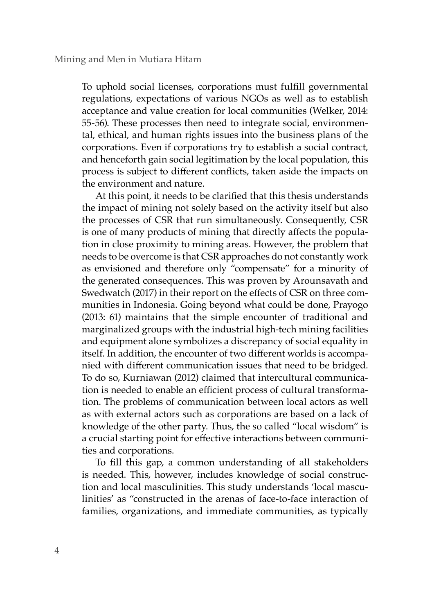To uphold social licenses, corporations must fulfill governmental regulations, expectations of various NGOs as well as to establish acceptance and value creation for local communities (Welker, 2014: 55-56). These processes then need to integrate social, environmental, ethical, and human rights issues into the business plans of the corporations. Even if corporations try to establish a social contract, and henceforth gain social legitimation by the local population, this process is subject to different conflicts, taken aside the impacts on the environment and nature.

At this point, it needs to be clarified that this thesis understands the impact of mining not solely based on the activity itself but also the processes of CSR that run simultaneously. Consequently, CSR is one of many products of mining that directly affects the population in close proximity to mining areas. However, the problem that needs to be overcome is that CSR approaches do not constantly work as envisioned and therefore only "compensate" for a minority of the generated consequences. This was proven by Arounsavath and Swedwatch (2017) in their report on the effects of CSR on three communities in Indonesia. Going beyond what could be done, Prayogo (2013: 61) maintains that the simple encounter of traditional and marginalized groups with the industrial high-tech mining facilities and equipment alone symbolizes a discrepancy of social equality in itself. In addition, the encounter of two different worlds is accompanied with different communication issues that need to be bridged. To do so, Kurniawan (2012) claimed that intercultural communication is needed to enable an efficient process of cultural transformation. The problems of communication between local actors as well as with external actors such as corporations are based on a lack of knowledge of the other party. Thus, the so called "local wisdom" is a crucial starting point for effective interactions between communities and corporations.

To fill this gap, a common understanding of all stakeholders is needed. This, however, includes knowledge of social construction and local masculinities. This study understands 'local masculinities' as "constructed in the arenas of face-to-face interaction of families, organizations, and immediate communities, as typically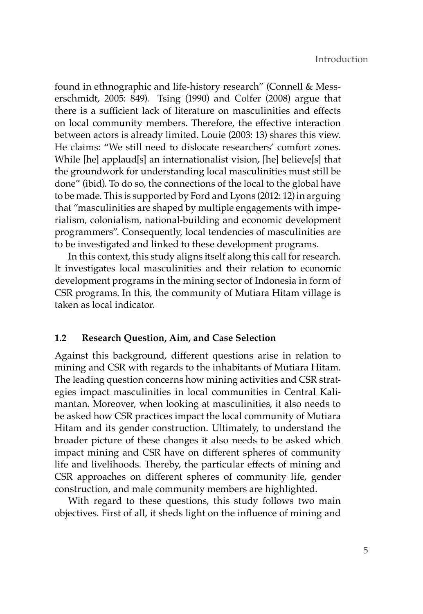found in ethnographic and life-history research" (Connell & Messerschmidt, 2005: 849). Tsing (1990) and Colfer (2008) argue that there is a sufficient lack of literature on masculinities and effects on local community members. Therefore, the effective interaction between actors is already limited. Louie (2003: 13) shares this view. He claims: "We still need to dislocate researchers' comfort zones. While [he] applaud[s] an internationalist vision, [he] believe[s] that the groundwork for understanding local masculinities must still be done" (ibid). To do so, the connections of the local to the global have to be made. This is supported by Ford and Lyons (2012: 12) in arguing that "masculinities are shaped by multiple engagements with imperialism, colonialism, national-building and economic development programmers". Consequently, local tendencies of masculinities are to be investigated and linked to these development programs.

In this context, this study aligns itself along this call for research. It investigates local masculinities and their relation to economic development programs in the mining sector of Indonesia in form of CSR programs. In this, the community of Mutiara Hitam village is taken as local indicator.

## **1.2 Research Question, Aim, and Case Selection**

Against this background, different questions arise in relation to mining and CSR with regards to the inhabitants of Mutiara Hitam. The leading question concerns how mining activities and CSR strategies impact masculinities in local communities in Central Kalimantan. Moreover, when looking at masculinities, it also needs to be asked how CSR practices impact the local community of Mutiara Hitam and its gender construction. Ultimately, to understand the broader picture of these changes it also needs to be asked which impact mining and CSR have on different spheres of community life and livelihoods. Thereby, the particular effects of mining and CSR approaches on different spheres of community life, gender construction, and male community members are highlighted.

With regard to these questions, this study follows two main objectives. First of all, it sheds light on the influence of mining and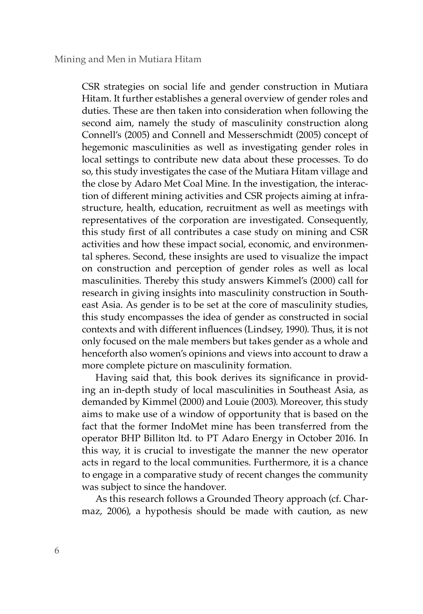CSR strategies on social life and gender construction in Mutiara Hitam. It further establishes a general overview of gender roles and duties. These are then taken into consideration when following the second aim, namely the study of masculinity construction along Connell's (2005) and Connell and Messerschmidt (2005) concept of hegemonic masculinities as well as investigating gender roles in local settings to contribute new data about these processes. To do so, this study investigates the case of the Mutiara Hitam village and the close by Adaro Met Coal Mine. In the investigation, the interaction of different mining activities and CSR projects aiming at infrastructure, health, education, recruitment as well as meetings with representatives of the corporation are investigated. Consequently, this study first of all contributes a case study on mining and CSR activities and how these impact social, economic, and environmental spheres. Second, these insights are used to visualize the impact on construction and perception of gender roles as well as local masculinities. Thereby this study answers Kimmel's (2000) call for research in giving insights into masculinity construction in Southeast Asia. As gender is to be set at the core of masculinity studies, this study encompasses the idea of gender as constructed in social contexts and with different influences (Lindsey, 1990). Thus, it is not only focused on the male members but takes gender as a whole and henceforth also women's opinions and views into account to draw a more complete picture on masculinity formation.

Having said that, this book derives its significance in providing an in-depth study of local masculinities in Southeast Asia, as demanded by Kimmel (2000) and Louie (2003). Moreover, this study aims to make use of a window of opportunity that is based on the fact that the former IndoMet mine has been transferred from the operator BHP Billiton ltd. to PT Adaro Energy in October 2016. In this way, it is crucial to investigate the manner the new operator acts in regard to the local communities. Furthermore, it is a chance to engage in a comparative study of recent changes the community was subject to since the handover.

As this research follows a Grounded Theory approach (cf. Charmaz, 2006), a hypothesis should be made with caution, as new